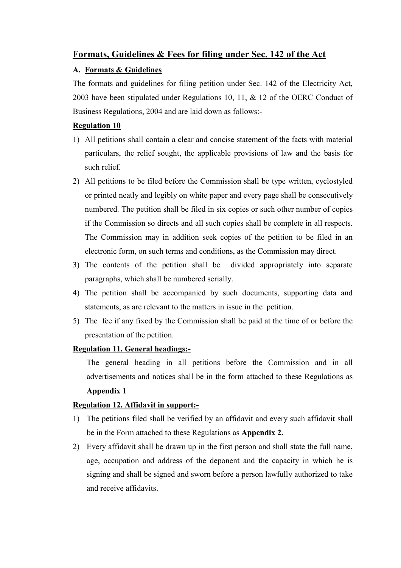# **Formats, Guidelines & Fees for filing under Sec. 142 of the Act**

# **A. Formats & Guidelines**

The formats and guidelines for filing petition under Sec. 142 of the Electricity Act, 2003 have been stipulated under Regulations 10, 11, & 12 of the OERC Conduct of Business Regulations, 2004 and are laid down as follows:-

## **Regulation 10**

- 1) All petitions shall contain a clear and concise statement of the facts with material particulars, the relief sought, the applicable provisions of law and the basis for such relief.
- 2) All petitions to be filed before the Commission shall be type written, cyclostyled or printed neatly and legibly on white paper and every page shall be consecutively numbered. The petition shall be filed in six copies or such other number of copies if the Commission so directs and all such copies shall be complete in all respects. The Commission may in addition seek copies of the petition to be filed in an electronic form, on such terms and conditions, as the Commission may direct.
- 3) The contents of the petition shall be divided appropriately into separate paragraphs, which shall be numbered serially.
- 4) The petition shall be accompanied by such documents, supporting data and statements, as are relevant to the matters in issue in the petition.
- 5) The fee if any fixed by the Commission shall be paid at the time of or before the presentation of the petition.

## **Regulation 11. General headings:-**

The general heading in all petitions before the Commission and in all advertisements and notices shall be in the form attached to these Regulations as **Appendix 1** 

# **Regulation 12. Affidavit in support:-**

- 1) The petitions filed shall be verified by an affidavit and every such affidavit shall be in the Form attached to these Regulations as **Appendix 2.**
- 2) Every affidavit shall be drawn up in the first person and shall state the full name, age, occupation and address of the deponent and the capacity in which he is signing and shall be signed and sworn before a person lawfully authorized to take and receive affidavits.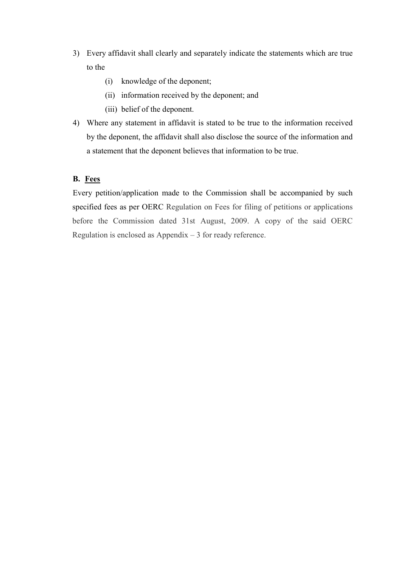- 3) Every affidavit shall clearly and separately indicate the statements which are true to the
	- (i) knowledge of the deponent;
	- (ii) information received by the deponent; and
	- (iii) belief of the deponent.
- 4) Where any statement in affidavit is stated to be true to the information received by the deponent, the affidavit shall also disclose the source of the information and a statement that the deponent believes that information to be true.

## **B. Fees**

Every petition/application made to the Commission shall be accompanied by such specified fees as per OERC Regulation on Fees for filing of petitions or applications before the Commission dated 31st August, 2009. A copy of the said OERC Regulation is enclosed as Appendix  $-3$  for ready reference.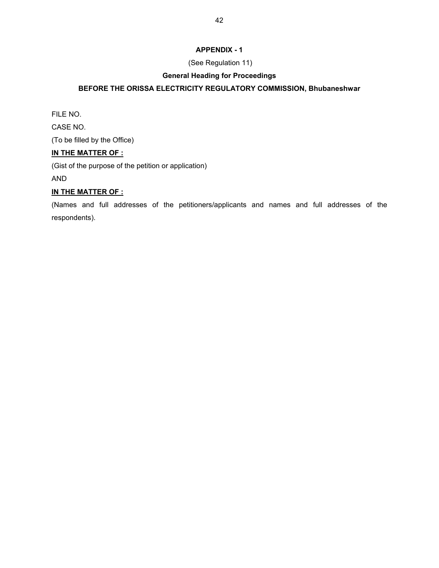## **APPENDIX - 1**

## (See Regulation 11)

## **General Heading for Proceedings**

## **BEFORE THE ORISSA ELECTRICITY REGULATORY COMMISSION, Bhubaneshwar**

FILE NO.

CASE NO.

(To be filled by the Office)

#### **IN THE MATTER OF :**

(Gist of the purpose of the petition or application)

AND

## **IN THE MATTER OF :**

(Names and full addresses of the petitioners/applicants and names and full addresses of the respondents).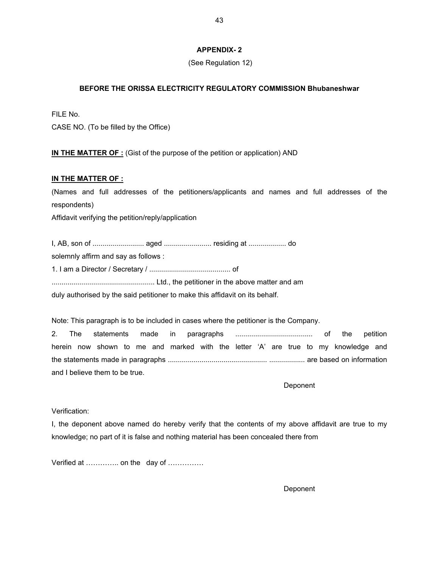#### **APPENDIX- 2**

(See Regulation 12)

#### **BEFORE THE ORISSA ELECTRICITY REGULATORY COMMISSION Bhubaneshwar**

FILE No. CASE NO. (To be filled by the Office)

**IN THE MATTER OF :** (Gist of the purpose of the petition or application) AND

#### **IN THE MATTER OF :**

(Names and full addresses of the petitioners/applicants and names and full addresses of the respondents)

Affidavit verifying the petition/reply/application

I, AB, son of .......................... aged ........................ residing at ................... do solemnly affirm and say as follows : 1. I am a Director / Secretary / ......................................... of .................................................... Ltd., the petitioner in the above matter and am duly authorised by the said petitioner to make this affidavit on its behalf.

Note: This paragraph is to be included in cases where the petitioner is the Company. 2. The statements made in paragraphs ....................................... of the petition herein now shown to me and marked with the letter 'A' are true to my knowledge and the statements made in paragraphs .................................................. .................. are based on information and I believe them to be true.

Deponent

Verification:

I, the deponent above named do hereby verify that the contents of my above affidavit are true to my knowledge; no part of it is false and nothing material has been concealed there from

Verified at ............... on the day of ...............

Deponent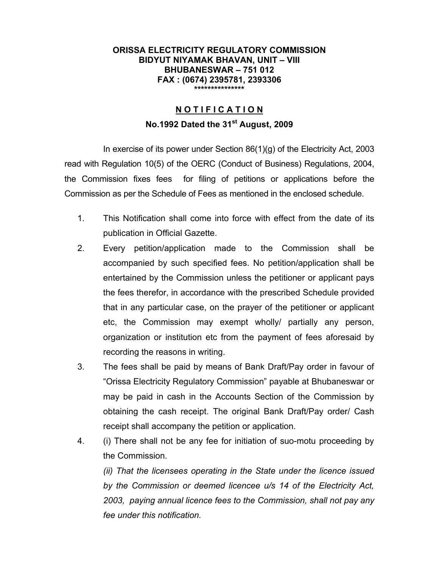#### **ORISSA ELECTRICITY REGULATORY COMMISSION BIDYUT NIYAMAK BHAVAN, UNIT - VIII BHUBANESWAR 751 012 FAX : (0674) 2395781, 2393306 \*\*\*\*\*\*\*\*\*\*\*\*\*\*\***

# **N O T I F I C A T I O N No.1992 Dated the 31st August, 2009**

In exercise of its power under Section  $86(1)(q)$  of the Electricity Act, 2003 read with Regulation 10(5) of the OERC (Conduct of Business) Regulations, 2004, the Commission fixes fees for filing of petitions or applications before the Commission as per the Schedule of Fees as mentioned in the enclosed schedule.

- 1. This Notification shall come into force with effect from the date of its publication in Official Gazette.
- 2. Every petition/application made to the Commission shall be accompanied by such specified fees. No petition/application shall be entertained by the Commission unless the petitioner or applicant pays the fees therefor, in accordance with the prescribed Schedule provided that in any particular case, on the prayer of the petitioner or applicant etc, the Commission may exempt wholly/ partially any person, organization or institution etc from the payment of fees aforesaid by recording the reasons in writing.
- 3. The fees shall be paid by means of Bank Draft/Pay order in favour of "Orissa Electricity Regulatory Commission" payable at Bhubaneswar or may be paid in cash in the Accounts Section of the Commission by obtaining the cash receipt. The original Bank Draft/Pay order/ Cash receipt shall accompany the petition or application.
- 4. (i) There shall not be any fee for initiation of suo-motu proceeding by the Commission.

*(ii) That the licensees operating in the State under the licence issued by the Commission or deemed licencee u/s 14 of the Electricity Act, 2003, paying annual licence fees to the Commission, shall not pay any fee under this notification.*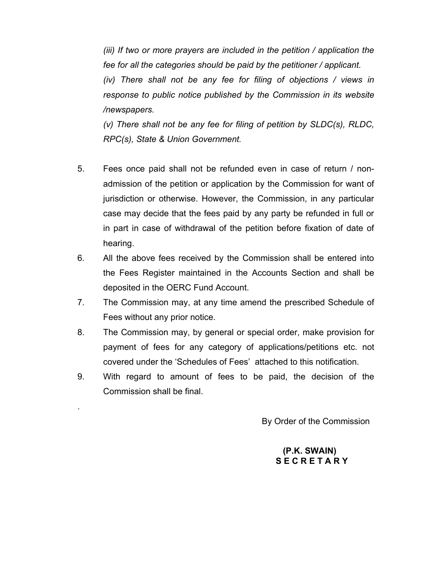*(iii) If two or more prayers are included in the petition / application the fee for all the categories should be paid by the petitioner / applicant.* 

*(iv) There shall not be any fee for filing of objections / views in response to public notice published by the Commission in its website /newspapers.* 

*(v) There shall not be any fee for filing of petition by SLDC(s), RLDC, RPC(s), State & Union Government.* 

- 5. Fees once paid shall not be refunded even in case of return / nonadmission of the petition or application by the Commission for want of jurisdiction or otherwise. However, the Commission, in any particular case may decide that the fees paid by any party be refunded in full or in part in case of withdrawal of the petition before fixation of date of hearing.
- 6. All the above fees received by the Commission shall be entered into the Fees Register maintained in the Accounts Section and shall be deposited in the OERC Fund Account.
- 7. The Commission may, at any time amend the prescribed Schedule of Fees without any prior notice.
- 8. The Commission may, by general or special order, make provision for payment of fees for any category of applications/petitions etc. not covered under the 'Schedules of Fees' attached to this notification.
- 9. With regard to amount of fees to be paid, the decision of the Commission shall be final.

.

By Order of the Commission

## **(P.K. SWAIN) S E C R E T A R Y**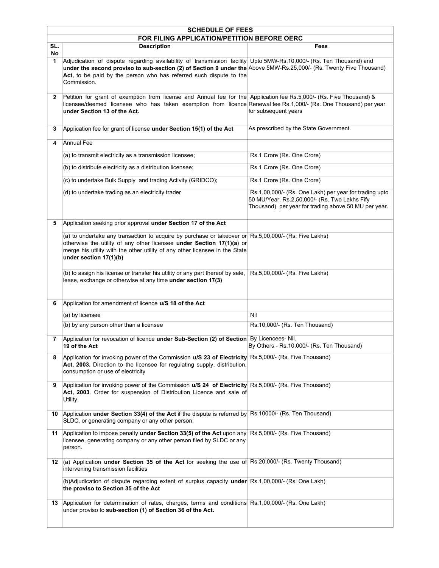|              | <b>SCHEDULE OF FEES</b>                                                                                                                                                                                                                                                                                                         |                                                                                                                                                                 |  |  |  |
|--------------|---------------------------------------------------------------------------------------------------------------------------------------------------------------------------------------------------------------------------------------------------------------------------------------------------------------------------------|-----------------------------------------------------------------------------------------------------------------------------------------------------------------|--|--|--|
|              | FOR FILING APPLICATION/PETITION BEFORE OERC                                                                                                                                                                                                                                                                                     |                                                                                                                                                                 |  |  |  |
| SL.<br>No    | <b>Description</b>                                                                                                                                                                                                                                                                                                              | Fees                                                                                                                                                            |  |  |  |
| 1            | Adjudication of dispute regarding availability of transmission facility Upto 5MW-Rs.10,000/- (Rs. Ten Thousand) and<br>under the second proviso to sub-section (2) of Section 9 under the Above 5MW-Rs.25,000/- (Rs. Twenty Five Thousand)<br>Act, to be paid by the person who has referred such dispute to the<br>Commission. |                                                                                                                                                                 |  |  |  |
| $\mathbf{2}$ | Petition for grant of exemption from license and Annual fee for the Application fee Rs.5,000/- (Rs. Five Thousand) &<br>licensee/deemed licensee who has taken exemption from licence Renewal fee Rs.1,000/- (Rs. One Thousand) per year<br>under Section 13 of the Act.                                                        | for subsequent years                                                                                                                                            |  |  |  |
| 3            | Application fee for grant of license under Section 15(1) of the Act                                                                                                                                                                                                                                                             | As prescribed by the State Government.                                                                                                                          |  |  |  |
| 4            | <b>Annual Fee</b>                                                                                                                                                                                                                                                                                                               |                                                                                                                                                                 |  |  |  |
|              | (a) to transmit electricity as a transmission licensee;                                                                                                                                                                                                                                                                         | Rs.1 Crore (Rs. One Crore)                                                                                                                                      |  |  |  |
|              | (b) to distribute electricity as a distribution licensee;                                                                                                                                                                                                                                                                       | Rs.1 Crore (Rs. One Crore)                                                                                                                                      |  |  |  |
|              | (c) to undertake Bulk Supply and trading Activity (GRIDCO);                                                                                                                                                                                                                                                                     | Rs.1 Crore (Rs. One Crore)                                                                                                                                      |  |  |  |
|              | (d) to undertake trading as an electricity trader                                                                                                                                                                                                                                                                               | Rs.1,00,000/- (Rs. One Lakh) per year for trading upto<br>50 MU/Year. Rs.2,50,000/- (Rs. Two Lakhs Fify<br>Thousand) per year for trading above 50 MU per year. |  |  |  |
| 5            | Application seeking prior approval under Section 17 of the Act                                                                                                                                                                                                                                                                  |                                                                                                                                                                 |  |  |  |
|              | (a) to undertake any transaction to acquire by purchase or takeover or Rs.5,00,000/- (Rs. Five Lakhs)<br>otherwise the utility of any other licensee under Section 17(1)(a) or<br>merge his utility with the other utility of any other licensee in the State<br>under section 17(1)(b)                                         |                                                                                                                                                                 |  |  |  |
|              | (b) to assign his license or transfer his utility or any part thereof by sale,<br>lease, exchange or otherwise at any time under section 17(3)                                                                                                                                                                                  | Rs.5,00,000/- (Rs. Five Lakhs)                                                                                                                                  |  |  |  |
| 6            | Application for amendment of licence u/S 18 of the Act                                                                                                                                                                                                                                                                          |                                                                                                                                                                 |  |  |  |
|              | (a) by licensee                                                                                                                                                                                                                                                                                                                 | Nil                                                                                                                                                             |  |  |  |
|              | (b) by any person other than a licensee                                                                                                                                                                                                                                                                                         | Rs.10,000/- (Rs. Ten Thousand)                                                                                                                                  |  |  |  |
| 7            | Application for revocation of licence under Sub-Section (2) of Section By Licencees- Nil.<br>19 of the Act                                                                                                                                                                                                                      | By Others - Rs.10,000/- (Rs. Ten Thousand)                                                                                                                      |  |  |  |
| 8            | Application for invoking power of the Commission u/S 23 of Electricity Rs.5,000/- (Rs. Five Thousand)<br>Act, 2003. Direction to the licensee for regulating supply, distribution,<br>consumption or use of electricity                                                                                                         |                                                                                                                                                                 |  |  |  |
| 9            | Application for invoking power of the Commission u/S 24 of Electricity Rs.5,000/- (Rs. Five Thousand)<br>Act, 2003. Order for suspension of Distribution Licence and sale of<br>Utility.                                                                                                                                        |                                                                                                                                                                 |  |  |  |
| 10           | Application under Section 33(4) of the Act if the dispute is referred by Rs.10000/- (Rs. Ten Thousand)<br>SLDC, or generating company or any other person.                                                                                                                                                                      |                                                                                                                                                                 |  |  |  |
| 11           | Application to impose penalty under Section 33(5) of the Act upon any<br>licensee, generating company or any other person filed by SLDC or any<br>person.                                                                                                                                                                       | Rs.5,000/- (Rs. Five Thousand)                                                                                                                                  |  |  |  |
| 12           | (a) Application under Section 35 of the Act for seeking the use of Rs.20,000/- (Rs. Twenty Thousand)<br>intervening transmission facilities                                                                                                                                                                                     |                                                                                                                                                                 |  |  |  |
|              | (b)Adjudication of dispute regarding extent of surplus capacity under Rs.1,00,000/- (Rs. One Lakh)<br>the proviso to Section 35 of the Act                                                                                                                                                                                      |                                                                                                                                                                 |  |  |  |
| 13           | Application for determination of rates, charges, terms and conditions Rs.1,00,000/- (Rs. One Lakh)<br>under proviso to sub-section (1) of Section 36 of the Act.                                                                                                                                                                |                                                                                                                                                                 |  |  |  |
|              |                                                                                                                                                                                                                                                                                                                                 |                                                                                                                                                                 |  |  |  |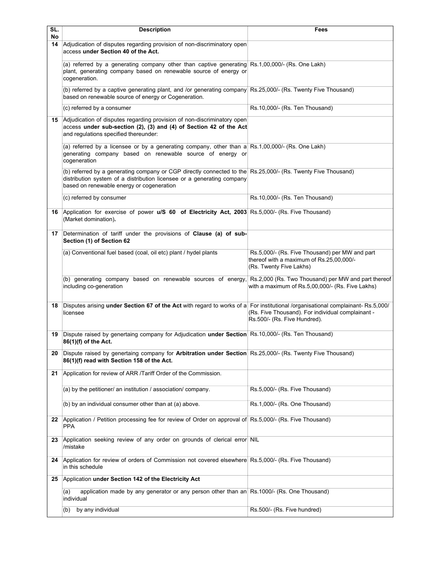| SL.      | <b>Description</b>                                                                                                                                                                                                                  | Fees                                                                                                                  |
|----------|-------------------------------------------------------------------------------------------------------------------------------------------------------------------------------------------------------------------------------------|-----------------------------------------------------------------------------------------------------------------------|
| No<br>14 | Adjudication of disputes regarding provision of non-discriminatory open                                                                                                                                                             |                                                                                                                       |
|          | access under Section 40 of the Act.                                                                                                                                                                                                 |                                                                                                                       |
|          | (a) referred by a generating company other than captive generating Rs.1,00,000/- (Rs. One Lakh)<br>plant, generating company based on renewable source of energy or<br>cogeneration.                                                |                                                                                                                       |
|          | (b) referred by a captive generating plant, and /or generating company Rs.25,000/- (Rs. Twenty Five Thousand)<br>based on renewable source of energy or Cogeneration.                                                               |                                                                                                                       |
|          | (c) referred by a consumer                                                                                                                                                                                                          | Rs.10,000/- (Rs. Ten Thousand)                                                                                        |
| 15       | Adjudication of disputes regarding provision of non-discriminatory open<br>access under sub-section (2), (3) and (4) of Section 42 of the Act<br>and regulations specified thereunder:                                              |                                                                                                                       |
|          | (a) referred by a licensee or by a generating company, other than a Rs.1,00,000/- (Rs. One Lakh)<br>generating company based on renewable source of energy or<br>cogeneration                                                       |                                                                                                                       |
|          | (b) referred by a generating company or CGP directly connected to the Rs.25,000/- (Rs. Twenty Five Thousand)<br>distribution system of a distribution licensee or a generating company<br>based on renewable energy or cogeneration |                                                                                                                       |
|          | (c) referred by consumer                                                                                                                                                                                                            | Rs.10,000/- (Rs. Ten Thousand)                                                                                        |
| 16       | Application for exercise of power u/S 60 of Electricity Act, 2003 Rs.5,000/- (Rs. Five Thousand)<br>(Market domination).                                                                                                            |                                                                                                                       |
| 17       | Determination of tariff under the provisions of Clause (a) of sub-<br>Section (1) of Section 62                                                                                                                                     |                                                                                                                       |
|          | (a) Conventional fuel based (coal, oil etc) plant / hydel plants                                                                                                                                                                    | Rs.5,000/- (Rs. Five Thousand) per MW and part<br>thereof with a maximum of Rs.25,00,000/-<br>(Rs. Twenty Five Lakhs) |
|          | (b) generating company based on renewable sources of energy, Rs.2,000 (Rs. Two Thousand) per MW and part thereof<br>including co-generation                                                                                         | with a maximum of Rs.5,00,000/- (Rs. Five Lakhs)                                                                      |
| 18       | Disputes arising under Section 67 of the Act with regard to works of a For institutional /organisational complainant-Rs.5,000/<br>licensee                                                                                          | (Rs. Five Thousand). For individual complainant -<br>Rs.500/- (Rs. Five Hundred).                                     |
|          | 19 Dispute raised by genertaing company for Adjudication under Section Rs.10,000/- (Rs. Ten Thousand)<br>86(1)(f) of the Act.                                                                                                       |                                                                                                                       |
| 20       | Dispute raised by genertaing company for Arbitration under Section Rs.25,000/- (Rs. Twenty Five Thousand)<br>86(1)(f) read with Section 158 of the Act.                                                                             |                                                                                                                       |
| 21       | Application for review of ARR /Tariff Order of the Commission.                                                                                                                                                                      |                                                                                                                       |
|          | (a) by the petitioner/ an institution / association/ company.                                                                                                                                                                       | Rs.5,000/- (Rs. Five Thousand)                                                                                        |
|          | (b) by an individual consumer other than at (a) above.                                                                                                                                                                              | Rs.1,000/- (Rs. One Thousand)                                                                                         |
| 22       | Application / Petition processing fee for review of Order on approval of Rs.5,000/- (Rs. Five Thousand)<br><b>PPA</b>                                                                                                               |                                                                                                                       |
| 23       | Application seeking review of any order on grounds of clerical error NIL<br>/mistake                                                                                                                                                |                                                                                                                       |
| 24       | Application for review of orders of Commission not covered elsewhere Rs.5,000/- (Rs. Five Thousand)<br>in this schedule                                                                                                             |                                                                                                                       |
| 25       | Application under Section 142 of the Electricity Act                                                                                                                                                                                |                                                                                                                       |
|          | application made by any generator or any person other than an Rs.1000/- (Rs. One Thousand)<br>(a)<br>individual                                                                                                                     |                                                                                                                       |
|          | by any individual<br>(b)                                                                                                                                                                                                            | Rs.500/- (Rs. Five hundred)                                                                                           |